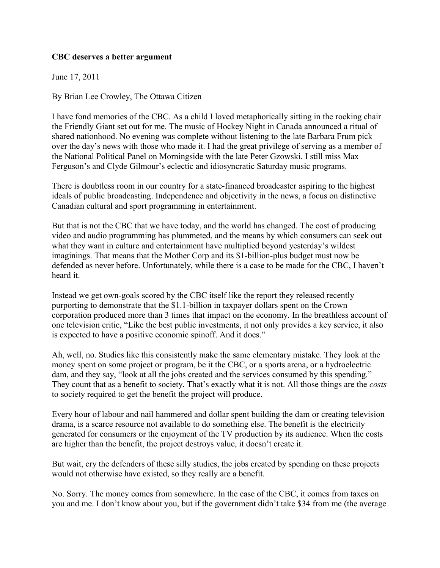## **CBC deserves a better argument**

June 17, 2011

By Brian Lee Crowley, The Ottawa Citizen

I have fond memories of the CBC. As a child I loved metaphorically sitting in the rocking chair the Friendly Giant set out for me. The music of Hockey Night in Canada announced a ritual of shared nationhood. No evening was complete without listening to the late Barbara Frum pick over the day's news with those who made it. I had the great privilege of serving as a member of the National Political Panel on Morningside with the late Peter Gzowski. I still miss Max Ferguson's and Clyde Gilmour's eclectic and idiosyncratic Saturday music programs.

There is doubtless room in our country for a state-financed broadcaster aspiring to the highest ideals of public broadcasting. Independence and objectivity in the news, a focus on distinctive Canadian cultural and sport programming in entertainment.

But that is not the CBC that we have today, and the world has changed. The cost of producing video and audio programming has plummeted, and the means by which consumers can seek out what they want in culture and entertainment have multiplied beyond yesterday's wildest imaginings. That means that the Mother Corp and its \$1-billion-plus budget must now be defended as never before. Unfortunately, while there is a case to be made for the CBC, I haven't heard it.

Instead we get own-goals scored by the CBC itself like the report they released recently purporting to demonstrate that the \$1.1-billion in taxpayer dollars spent on the Crown corporation produced more than 3 times that impact on the economy. In the breathless account of one television critic, "Like the best public investments, it not only provides a key service, it also is expected to have a positive economic spinoff. And it does."

Ah, well, no. Studies like this consistently make the same elementary mistake. They look at the money spent on some project or program, be it the CBC, or a sports arena, or a hydroelectric dam, and they say, "look at all the jobs created and the services consumed by this spending." They count that as a benefit to society. That's exactly what it is not. All those things are the *costs* to society required to get the benefit the project will produce.

Every hour of labour and nail hammered and dollar spent building the dam or creating television drama, is a scarce resource not available to do something else. The benefit is the electricity generated for consumers or the enjoyment of the TV production by its audience. When the costs are higher than the benefit, the project destroys value, it doesn't create it.

But wait, cry the defenders of these silly studies, the jobs created by spending on these projects would not otherwise have existed, so they really are a benefit.

No. Sorry. The money comes from somewhere. In the case of the CBC, it comes from taxes on you and me. I don't know about you, but if the government didn't take \$34 from me (the average